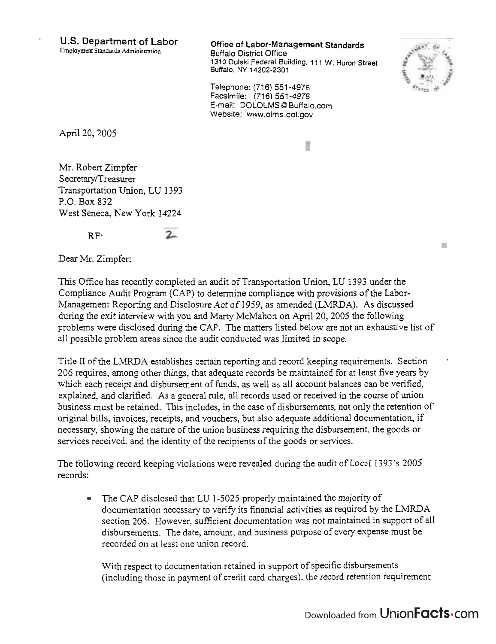; **US. Department of Labor Office of Labor-Management Standards** 

Employment Standards Administration **Buffalo District Office 131 0 Dulski Federal Building. 1 1 1** W. **Huron Street**  Buffalo, NY **14202-2301** 

P.



**COL** 

Telephone: (716) 551-4976 Facsimile: (716) 551-4978 E-mail: DOLOLMS @ Buffalo.com Website: www.olms.dol.gov

April 20,2005

Mr. Robert Zimpfer Secretary/Treasurer Transportation Union, LU 1393 P.O. Box 832 West Seneca, New York 14224

 $RF$ 

 $2 -$ 

Dear Mr. Zimpfer:

This Office has recently completed an audit of Transportation Union, LU 1393 under the Compliance Audit Program (CAP) to determine compliance with provisions of the Labor-Management Reporting and Disclosure Act of 1959, as amended (LMRDA). As discussed during the exit interview with you and Marty McMahon on April 20, 2005 the following problems were disclosed during the CAP. The matters listed below are not an exhaustive list of a11 possible problem areas since the audit conducted was limited in scope.

Title I1 of the LMRDA establishes certain reporting and record keeping requirements. Section \* 206 requires, among other things, that adequate records be maintained for at least five years by which each receipt and disbursement of funds. as well as all account balances can be verified, explained, and clarified. As a general rule, all records used or received in the course of union business must be retained. This includes, in the case of disbursements, not only the retention of original bills, invoices, receipts, and vouchers, but also adequate additional documentation, if necessary, showing the nature of the union business requiring the disbursement, the goods or services received, and the identity of the recipients of the goods or services.

The following record keeping violations were revealed during the audit of Local 1393's 2005 records:

The CAP disclosed that LU 1-5025 properly maintained the majority of  $\bullet$ documentation necessary to verify its financial activities as required by the LMRDA section *206.* However, sufficient documentation was not maintained in support of all disbursements. The date, amounr, and business purpose of every expense must be recorded on at least one union record.

With respect to documentation retained in support of specific disbursements (including those in payment of credit card charges). the record retention requirement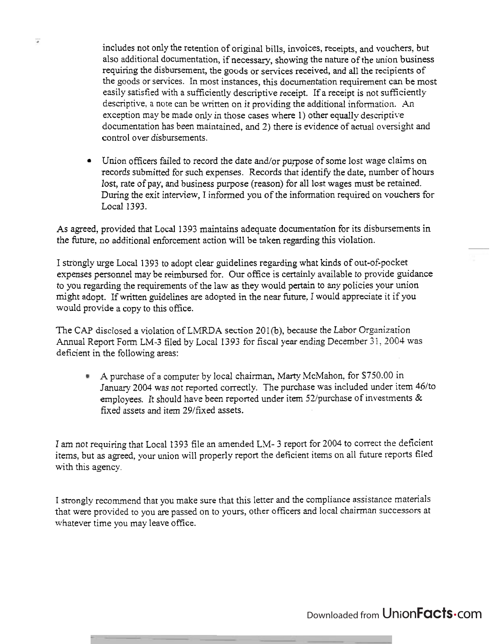includes not only the retention of original bills, invoices, receipts, and vouchers, but also additional documentation, if necessary, showing the nature of the union business requiring the disbursement, the goods or services received, and all the recipients of the goods or services. In most instances, this documentation requirement can be most easily satisfied with a sufficiently descriptive receipt. If a receipt is not sufficiently descriptive. a note can be written on it providing the additional information. An exception may be made only in those cases where  $1$ ) other equally descriptive documentation has been maintained, and 2) there is evidence of actual oversight and control over disbursements.

 $\overline{\mathcal{M}}$ 

• Union officers failed to record the date and/or purpose of some lost wage claims on records submitted for such expenses. Records that identify the date, number of hours lost, rate of pay, and business purpose (reason) for all lost wages must be retained. During the exit interview, I informed you of the information required on vouchers for Local 1393.

As agreed, provided that Local 1393 maintains adequate documentation for its disbursements in the future, no additional enforcement action will be taken regarding this violation.

I strongly urge Local 1393 to adopt clear guidelines regarding what kinds of out-of-pocket expenses personnel may be reimbursed for. Our office is certainly available to provide guidance to you regarding the requirements of the law as they would pertain to any policies your union might adopt. If written guidelines are adopted in the near future, I would appreciate it if you would provide a copy to this office.

The CAP disclosed a violation of LMRDA section 201(b), because the Labor Organization Annual Report Form LM-3 filed by Local 1393 for fiscal year ending December 31, 2004 was deficient in the following areas:

A purchase of a computer by local chairman, Marty McMahon, for \$750.00 in January 2004 was not reported correctly. The purchase was included under item 46/to employees. It should have been reported under item 52/purchase of investments & fixed assets and item 29/fixed assets.

1 am not requiring that Local 1393 file an amended LM- 3 report for 2004 to correct the deficient items, but as agreed, your union will properly report the deficient items on all future reports filed with this agency.

I strongly recommend that you make sure that this letter and the compliance assistance materials that were provided to you are passed on to yours, other officers and local chairman successors at whatever time you may leave office.

## Downloaded from Union**Facts** Com